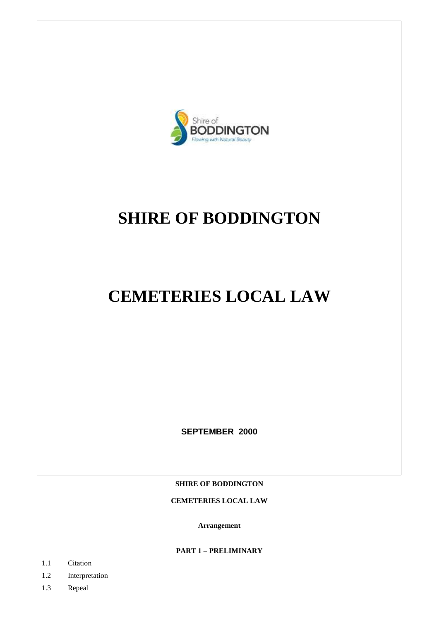

# **SHIRE OF BODDINGTON**

**CEMETERIES LOCAL LAW**

**SEPTEMBER 2000**

**SHIRE OF BODDINGTON**

**CEMETERIES LOCAL LAW**

**Arrangement**

**PART 1 – PRELIMINARY**

- 1.1 Citation
- 1.2 Interpretation
- 1.3 Repeal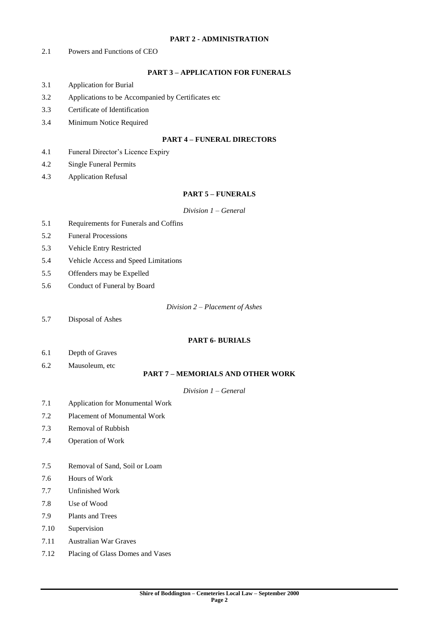#### **PART 2 - ADMINISTRATION**

2.1 Powers and Functions of CEO

# **PART 3 – APPLICATION FOR FUNERALS**

- 3.1 Application for Burial
- 3.2 Applications to be Accompanied by Certificates etc
- 3.3 Certificate of Identification
- 3.4 Minimum Notice Required

#### **PART 4 – FUNERAL DIRECTORS**

- 4.1 Funeral Director's Licence Expiry
- 4.2 Single Funeral Permits
- 4.3 Application Refusal

#### **PART 5 – FUNERALS**

#### *Division 1 – General*

- 5.1 Requirements for Funerals and Coffins
- 5.2 Funeral Processions
- 5.3 Vehicle Entry Restricted
- 5.4 Vehicle Access and Speed Limitations
- 5.5 Offenders may be Expelled
- 5.6 Conduct of Funeral by Board

*Division 2 – Placement of Ashes*

5.7 Disposal of Ashes

# **PART 6- BURIALS**

- 6.1 Depth of Graves
- 6.2 Mausoleum, etc

# **PART 7 – MEMORIALS AND OTHER WORK**

#### *Division 1 – General*

- 7.1 Application for Monumental Work
- 7.2 Placement of Monumental Work
- 7.3 Removal of Rubbish
- 7.4 Operation of Work
- 7.5 Removal of Sand, Soil or Loam
- 7.6 Hours of Work
- 7.7 Unfinished Work
- 7.8 Use of Wood
- 7.9 Plants and Trees
- 7.10 Supervision
- 7.11 Australian War Graves
- 7.12 Placing of Glass Domes and Vases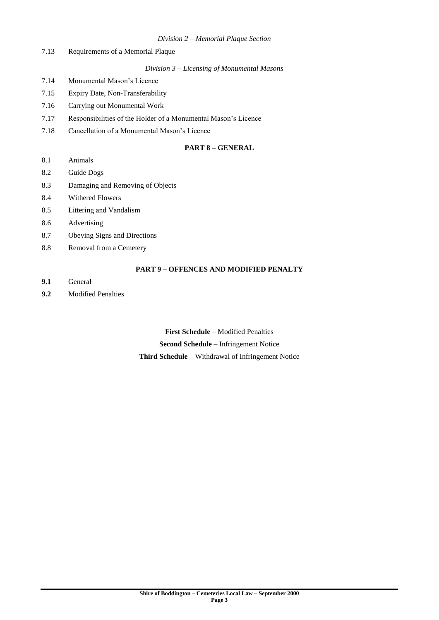#### *Division 2 – Memorial Plaque Section*

7.13 Requirements of a Memorial Plaque

# *Division 3 – Licensing of Monumental Masons*

- 7.14 Monumental Mason's Licence
- 7.15 Expiry Date, Non-Transferability
- 7.16 Carrying out Monumental Work
- 7.17 Responsibilities of the Holder of a Monumental Mason's Licence
- 7.18 Cancellation of a Monumental Mason's Licence

## **PART 8 – GENERAL**

- 8.1 Animals
- 8.2 Guide Dogs
- 8.3 Damaging and Removing of Objects
- 8.4 Withered Flowers
- 8.5 Littering and Vandalism
- 8.6 Advertising
- 8.7 Obeying Signs and Directions
- 8.8 Removal from a Cemetery

# **PART 9 – OFFENCES AND MODIFIED PENALTY**

- **9.1** General
- **9.2** Modified Penalties

**First Schedule** – Modified Penalties **Second Schedule** – Infringement Notice **Third Schedule** – Withdrawal of Infringement Notice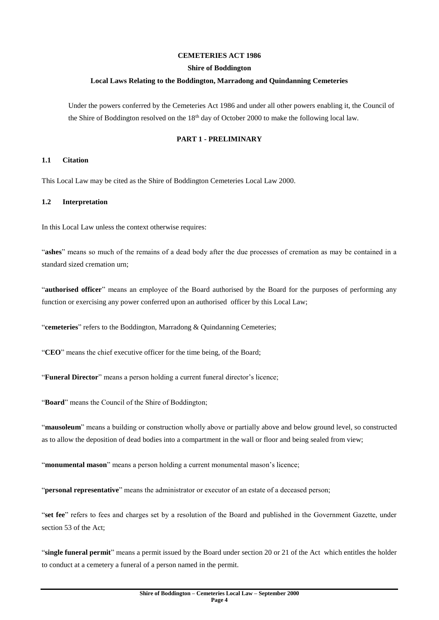#### **CEMETERIES ACT 1986**

#### **Shire of Boddington**

#### **Local Laws Relating to the Boddington, Marradong and Quindanning Cemeteries**

Under the powers conferred by the Cemeteries Act 1986 and under all other powers enabling it, the Council of the Shire of Boddington resolved on the  $18<sup>th</sup>$  day of October 2000 to make the following local law.

#### **PART 1 - PRELIMINARY**

#### **1.1 Citation**

This Local Law may be cited as the Shire of Boddington Cemeteries Local Law 2000.

#### **1.2 Interpretation**

In this Local Law unless the context otherwise requires:

"**ashes**" means so much of the remains of a dead body after the due processes of cremation as may be contained in a standard sized cremation urn;

"**authorised officer**" means an employee of the Board authorised by the Board for the purposes of performing any function or exercising any power conferred upon an authorised officer by this Local Law;

"cemeteries" refers to the Boddington, Marradong & Quindanning Cemeteries;

"**CEO**" means the chief executive officer for the time being, of the Board;

"**Funeral Director**" means a person holding a current funeral director's licence;

"**Board**" means the Council of the Shire of Boddington;

"**mausoleum**" means a building or construction wholly above or partially above and below ground level, so constructed as to allow the deposition of dead bodies into a compartment in the wall or floor and being sealed from view;

"monumental mason" means a person holding a current monumental mason's licence;

"**personal representative**" means the administrator or executor of an estate of a deceased person;

"**set fee**" refers to fees and charges set by a resolution of the Board and published in the Government Gazette, under section 53 of the Act;

"**single funeral permit**" means a permit issued by the Board under section 20 or 21 of the Act which entitles the holder to conduct at a cemetery a funeral of a person named in the permit.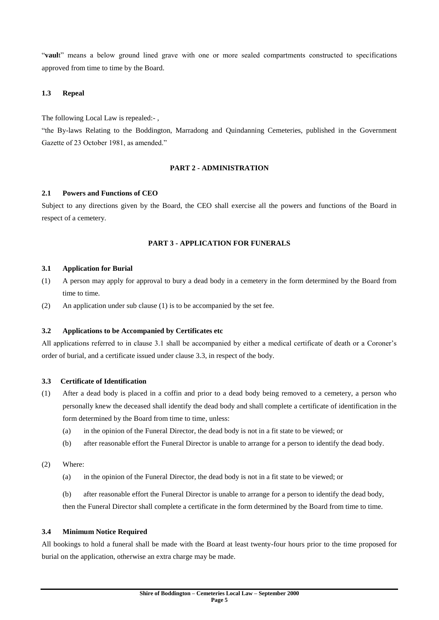"**vaul**t" means a below ground lined grave with one or more sealed compartments constructed to specifications approved from time to time by the Board.

# **1.3 Repeal**

The following Local Law is repealed:- ,

"the By-laws Relating to the Boddington, Marradong and Quindanning Cemeteries, published in the Government Gazette of 23 October 1981, as amended."

# **PART 2 - ADMINISTRATION**

#### **2.1 Powers and Functions of CEO**

Subject to any directions given by the Board, the CEO shall exercise all the powers and functions of the Board in respect of a cemetery.

# **PART 3 - APPLICATION FOR FUNERALS**

#### **3.1 Application for Burial**

- (1) A person may apply for approval to bury a dead body in a cemetery in the form determined by the Board from time to time.
- (2) An application under sub clause (1) is to be accompanied by the set fee.

#### **3.2 Applications to be Accompanied by Certificates etc**

All applications referred to in clause 3.1 shall be accompanied by either a medical certificate of death or a Coroner's order of burial, and a certificate issued under clause 3.3, in respect of the body.

#### **3.3 Certificate of Identification**

- (1) After a dead body is placed in a coffin and prior to a dead body being removed to a cemetery, a person who personally knew the deceased shall identify the dead body and shall complete a certificate of identification in the form determined by the Board from time to time, unless:
	- (a) in the opinion of the Funeral Director, the dead body is not in a fit state to be viewed; or
	- (b) after reasonable effort the Funeral Director is unable to arrange for a person to identify the dead body.
- (2) Where:
	- (a) in the opinion of the Funeral Director, the dead body is not in a fit state to be viewed; or
	- (b) after reasonable effort the Funeral Director is unable to arrange for a person to identify the dead body,

then the Funeral Director shall complete a certificate in the form determined by the Board from time to time.

## **3.4 Minimum Notice Required**

All bookings to hold a funeral shall be made with the Board at least twenty-four hours prior to the time proposed for burial on the application, otherwise an extra charge may be made.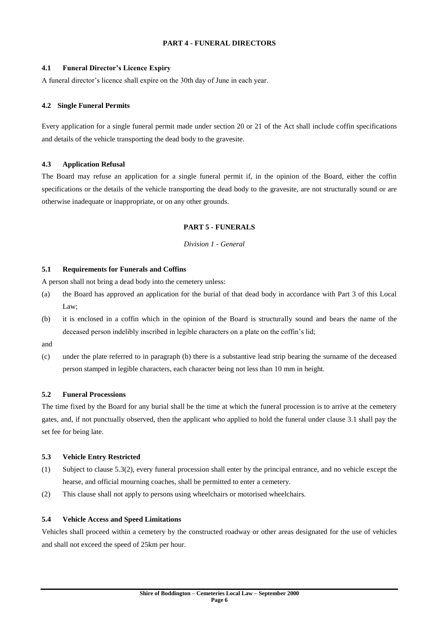# **PART 4 - FUNERAL DIRECTORS**

# **4.1 Funeral Director's Licence Expiry**

A funeral director's licence shall expire on the 30th day of June in each year.

## **4.2 Single Funeral Permits**

Every application for a single funeral permit made under section 20 or 21 of the Act shall include coffin specifications and details of the vehicle transporting the dead body to the gravesite.

#### **4.3 Application Refusal**

The Board may refuse an application for a single funeral permit if, in the opinion of the Board, either the coffin specifications or the details of the vehicle transporting the dead body to the gravesite, are not structurally sound or are otherwise inadequate or inappropriate, or on any other grounds.

# **PART 5 - FUNERALS**

#### *Division 1 - General*

# **5.1 Requirements for Funerals and Coffins**

A person shall not bring a dead body into the cemetery unless:

- (a) the Board has approved an application for the burial of that dead body in accordance with Part 3 of this Local Law;
- (b) it is enclosed in a coffin which in the opinion of the Board is structurally sound and bears the name of the deceased person indelibly inscribed in legible characters on a plate on the coffin's lid;

and

(c) under the plate referred to in paragraph (b) there is a substantive lead strip bearing the surname of the deceased person stamped in legible characters, each character being not less than 10 mm in height.

#### **5.2 Funeral Processions**

The time fixed by the Board for any burial shall be the time at which the funeral procession is to arrive at the cemetery gates, and, if not punctually observed, then the applicant who applied to hold the funeral under clause 3.1 shall pay the set fee for being late.

#### **5.3 Vehicle Entry Restricted**

- (1) Subject to clause 5.3(2), every funeral procession shall enter by the principal entrance, and no vehicle except the hearse, and official mourning coaches, shall be permitted to enter a cemetery.
- (2) This clause shall not apply to persons using wheelchairs or motorised wheelchairs.

#### **5.4 Vehicle Access and Speed Limitations**

Vehicles shall proceed within a cemetery by the constructed roadway or other areas designated for the use of vehicles and shall not exceed the speed of 25km per hour.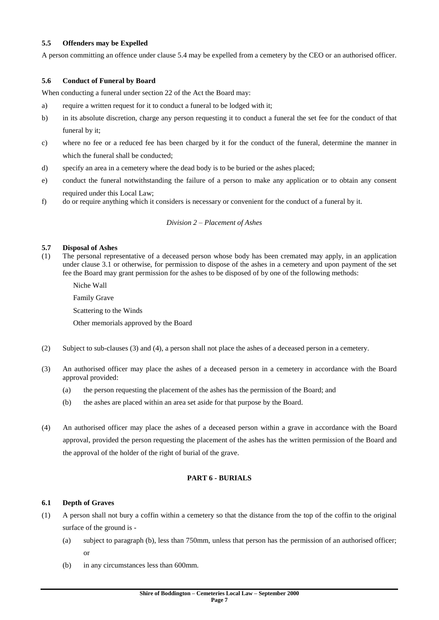#### **5.5 Offenders may be Expelled**

A person committing an offence under clause 5.4 may be expelled from a cemetery by the CEO or an authorised officer.

# **5.6 Conduct of Funeral by Board**

When conducting a funeral under section 22 of the Act the Board may:

- a) require a written request for it to conduct a funeral to be lodged with it;
- b) in its absolute discretion, charge any person requesting it to conduct a funeral the set fee for the conduct of that funeral by it;
- c) where no fee or a reduced fee has been charged by it for the conduct of the funeral, determine the manner in which the funeral shall be conducted;
- d) specify an area in a cemetery where the dead body is to be buried or the ashes placed;
- e) conduct the funeral notwithstanding the failure of a person to make any application or to obtain any consent required under this Local Law;
- f) do or require anything which it considers is necessary or convenient for the conduct of a funeral by it.

#### *Division 2 – Placement of Ashes*

#### **5.7 Disposal of Ashes**

- (1) The personal representative of a deceased person whose body has been cremated may apply, in an application under clause 3.1 or otherwise, for permission to dispose of the ashes in a cemetery and upon payment of the set fee the Board may grant permission for the ashes to be disposed of by one of the following methods:
	- Niche Wall Family Grave Scattering to the Winds Other memorials approved by the Board
- (2) Subject to sub-clauses (3) and (4), a person shall not place the ashes of a deceased person in a cemetery.
- (3) An authorised officer may place the ashes of a deceased person in a cemetery in accordance with the Board approval provided:
	- (a) the person requesting the placement of the ashes has the permission of the Board; and
	- (b) the ashes are placed within an area set aside for that purpose by the Board.
- (4) An authorised officer may place the ashes of a deceased person within a grave in accordance with the Board approval, provided the person requesting the placement of the ashes has the written permission of the Board and the approval of the holder of the right of burial of the grave.

#### **PART 6 - BURIALS**

#### **6.1 Depth of Graves**

- (1) A person shall not bury a coffin within a cemetery so that the distance from the top of the coffin to the original surface of the ground is -
	- (a) subject to paragraph (b), less than 750mm, unless that person has the permission of an authorised officer; or
	- (b) in any circumstances less than 600mm.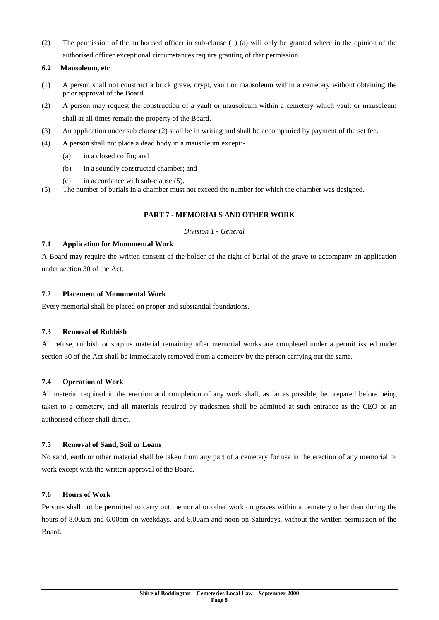(2) The permission of the authorised officer in sub-clause (1) (a) will only be granted where in the opinion of the authorised officer exceptional circumstances require granting of that permission.

# **6.2 Mausoleum, etc**

- (1) A person shall not construct a brick grave, crypt, vault or mausoleum within a cemetery without obtaining the prior approval of the Board.
- (2) A person may request the construction of a vault or mausoleum within a cemetery which vault or mausoleum shall at all times remain the property of the Board.
- (3) An application under sub clause (2) shall be in writing and shall be accompanied by payment of the set fee.
- (4) A person shall not place a dead body in a mausoleum except:-
	- (a) in a closed coffin; and
	- (b) in a soundly constructed chamber; and
	- (c) in accordance with sub-clause (5).
- (5) The number of burials in a chamber must not exceed the number for which the chamber was designed.

# **PART 7 - MEMORIALS AND OTHER WORK**

#### *Division 1 - General*

# **7.1 Application for Monumental Work**

A Board may require the written consent of the holder of the right of burial of the grave to accompany an application under section 30 of the Act.

#### **7.2 Placement of Monumental Work**

Every memorial shall be placed on proper and substantial foundations.

# **7.3 Removal of Rubbish**

All refuse, rubbish or surplus material remaining after memorial works are completed under a permit issued under section 30 of the Act shall be immediately removed from a cemetery by the person carrying out the same.

#### **7.4 Operation of Work**

All material required in the erection and completion of any work shall, as far as possible, be prepared before being taken to a cemetery, and all materials required by tradesmen shall be admitted at such entrance as the CEO or an authorised officer shall direct.

#### **7.5 Removal of Sand, Soil or Loam**

No sand, earth or other material shall be taken from any part of a cemetery for use in the erection of any memorial or work except with the written approval of the Board.

# **7.6 Hours of Work**

Persons shall not be permitted to carry out memorial or other work on graves within a cemetery other than during the hours of 8.00am and 6.00pm on weekdays, and 8.00am and noon on Saturdays, without the written permission of the Board.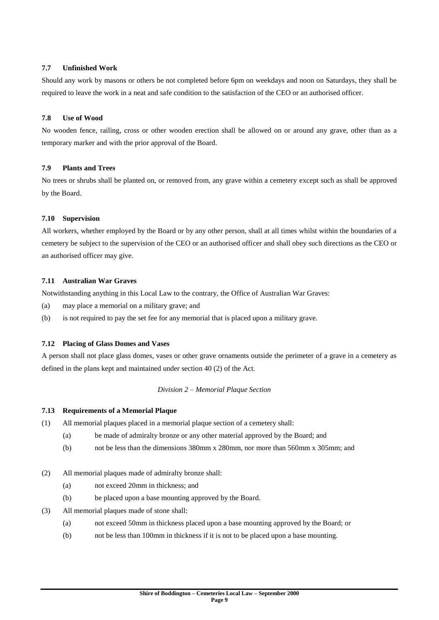# **7.7 Unfinished Work**

Should any work by masons or others be not completed before 6pm on weekdays and noon on Saturdays, they shall be required to leave the work in a neat and safe condition to the satisfaction of the CEO or an authorised officer.

# **7.8 Use of Wood**

No wooden fence, railing, cross or other wooden erection shall be allowed on or around any grave, other than as a temporary marker and with the prior approval of the Board.

#### **7.9 Plants and Trees**

No trees or shrubs shall be planted on, or removed from, any grave within a cemetery except such as shall be approved by the Board.

#### **7.10 Supervision**

All workers, whether employed by the Board or by any other person, shall at all times whilst within the boundaries of a cemetery be subject to the supervision of the CEO or an authorised officer and shall obey such directions as the CEO or an authorised officer may give.

#### **7.11 Australian War Graves**

Notwithstanding anything in this Local Law to the contrary, the Office of Australian War Graves:

- (a) may place a memorial on a military grave; and
- (b) is not required to pay the set fee for any memorial that is placed upon a military grave.

#### **7.12 Placing of Glass Domes and Vases**

A person shall not place glass domes, vases or other grave ornaments outside the perimeter of a grave in a cemetery as defined in the plans kept and maintained under section 40 (2) of the Act.

#### *Division 2 – Memorial Plaque Section*

#### **7.13 Requirements of a Memorial Plaque**

- (1) All memorial plaques placed in a memorial plaque section of a cemetery shall:
	- (a) be made of admiralty bronze or any other material approved by the Board; and
	- (b) not be less than the dimensions 380mm x 280mm, nor more than 560mm x 305mm; and
- (2) All memorial plaques made of admiralty bronze shall:
	- (a) not exceed 20mm in thickness; and
	- (b) be placed upon a base mounting approved by the Board.
- (3) All memorial plaques made of stone shall:
	- (a) not exceed 50mm in thickness placed upon a base mounting approved by the Board; or
	- (b) not be less than 100mm in thickness if it is not to be placed upon a base mounting.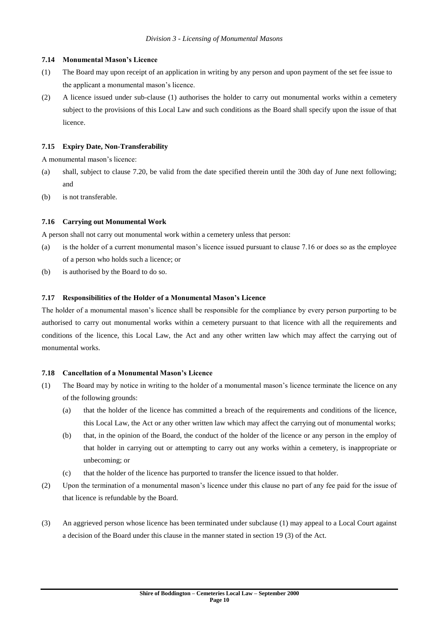#### **7.14 Monumental Mason's Licence**

- (1) The Board may upon receipt of an application in writing by any person and upon payment of the set fee issue to the applicant a monumental mason's licence.
- (2) A licence issued under sub-clause (1) authorises the holder to carry out monumental works within a cemetery subject to the provisions of this Local Law and such conditions as the Board shall specify upon the issue of that licence.

#### **7.15 Expiry Date, Non-Transferability**

A monumental mason's licence:

- (a) shall, subject to clause 7.20, be valid from the date specified therein until the 30th day of June next following; and
- (b) is not transferable.

#### **7.16 Carrying out Monumental Work**

A person shall not carry out monumental work within a cemetery unless that person:

- (a) is the holder of a current monumental mason's licence issued pursuant to clause 7.16 or does so as the employee of a person who holds such a licence; or
- (b) is authorised by the Board to do so.

#### **7.17 Responsibilities of the Holder of a Monumental Mason's Licence**

The holder of a monumental mason's licence shall be responsible for the compliance by every person purporting to be authorised to carry out monumental works within a cemetery pursuant to that licence with all the requirements and conditions of the licence, this Local Law, the Act and any other written law which may affect the carrying out of monumental works.

#### **7.18 Cancellation of a Monumental Mason's Licence**

- (1) The Board may by notice in writing to the holder of a monumental mason's licence terminate the licence on any of the following grounds:
	- (a) that the holder of the licence has committed a breach of the requirements and conditions of the licence, this Local Law, the Act or any other written law which may affect the carrying out of monumental works;
	- (b) that, in the opinion of the Board, the conduct of the holder of the licence or any person in the employ of that holder in carrying out or attempting to carry out any works within a cemetery, is inappropriate or unbecoming; or
	- (c) that the holder of the licence has purported to transfer the licence issued to that holder.
- (2) Upon the termination of a monumental mason's licence under this clause no part of any fee paid for the issue of that licence is refundable by the Board.
- (3) An aggrieved person whose licence has been terminated under subclause (1) may appeal to a Local Court against a decision of the Board under this clause in the manner stated in section 19 (3) of the Act.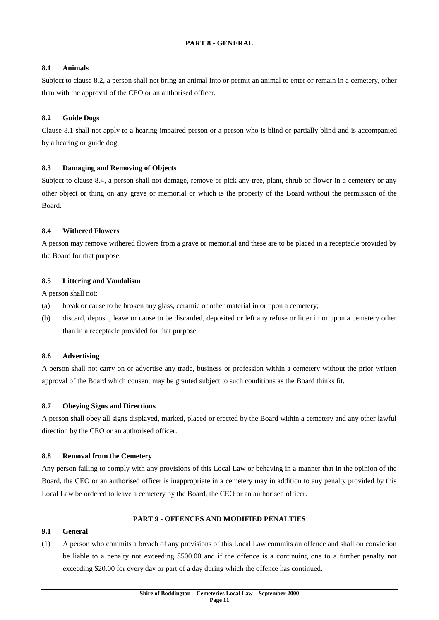# **PART 8 - GENERAL**

# **8.1 Animals**

Subject to clause 8.2, a person shall not bring an animal into or permit an animal to enter or remain in a cemetery, other than with the approval of the CEO or an authorised officer.

# **8.2 Guide Dogs**

Clause 8.1 shall not apply to a hearing impaired person or a person who is blind or partially blind and is accompanied by a hearing or guide dog.

# **8.3 Damaging and Removing of Objects**

Subject to clause 8.4, a person shall not damage, remove or pick any tree, plant, shrub or flower in a cemetery or any other object or thing on any grave or memorial or which is the property of the Board without the permission of the Board.

# **8.4 Withered Flowers**

A person may remove withered flowers from a grave or memorial and these are to be placed in a receptacle provided by the Board for that purpose.

# **8.5 Littering and Vandalism**

A person shall not:

- (a) break or cause to be broken any glass, ceramic or other material in or upon a cemetery;
- (b) discard, deposit, leave or cause to be discarded, deposited or left any refuse or litter in or upon a cemetery other than in a receptacle provided for that purpose.

# **8.6 Advertising**

A person shall not carry on or advertise any trade, business or profession within a cemetery without the prior written approval of the Board which consent may be granted subject to such conditions as the Board thinks fit.

#### **8.7 Obeying Signs and Directions**

A person shall obey all signs displayed, marked, placed or erected by the Board within a cemetery and any other lawful direction by the CEO or an authorised officer.

#### **8.8 Removal from the Cemetery**

Any person failing to comply with any provisions of this Local Law or behaving in a manner that in the opinion of the Board, the CEO or an authorised officer is inappropriate in a cemetery may in addition to any penalty provided by this Local Law be ordered to leave a cemetery by the Board, the CEO or an authorised officer.

# **PART 9 - OFFENCES AND MODIFIED PENALTIES**

#### **9.1 General**

(1) A person who commits a breach of any provisions of this Local Law commits an offence and shall on conviction be liable to a penalty not exceeding \$500.00 and if the offence is a continuing one to a further penalty not exceeding \$20.00 for every day or part of a day during which the offence has continued.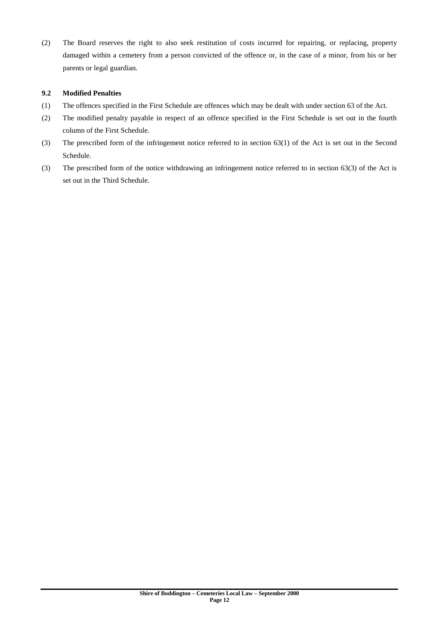(2) The Board reserves the right to also seek restitution of costs incurred for repairing, or replacing, property damaged within a cemetery from a person convicted of the offence or, in the case of a minor, from his or her parents or legal guardian.

# **9.2 Modified Penalties**

- (1) The offences specified in the First Schedule are offences which may be dealt with under section 63 of the Act.
- (2) The modified penalty payable in respect of an offence specified in the First Schedule is set out in the fourth column of the First Schedule.
- (3) The prescribed form of the infringement notice referred to in section 63(1) of the Act is set out in the Second Schedule.
- (3) The prescribed form of the notice withdrawing an infringement notice referred to in section 63(3) of the Act is set out in the Third Schedule.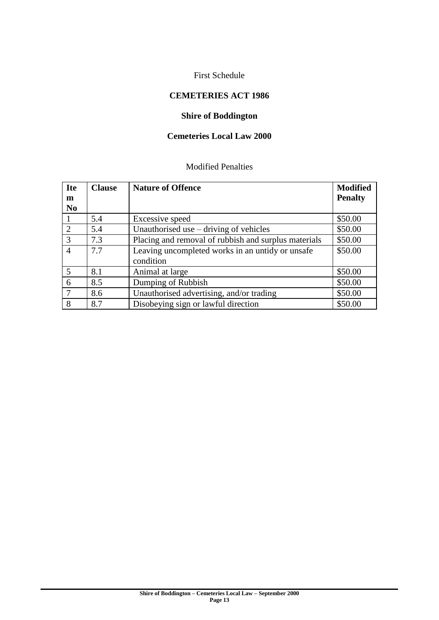# First Schedule

# **CEMETERIES ACT 1986**

# **Shire of Boddington**

# **Cemeteries Local Law 2000**

# Modified Penalties

| <b>Ite</b>     | <b>Clause</b> | <b>Nature of Offence</b>                             | <b>Modified</b> |
|----------------|---------------|------------------------------------------------------|-----------------|
| m              |               |                                                      | <b>Penalty</b>  |
| N <sub>0</sub> |               |                                                      |                 |
|                | 5.4           | Excessive speed                                      | \$50.00         |
| 2              | 5.4           | Unauthorised use $-$ driving of vehicles             | \$50.00         |
| 3              | 7.3           | Placing and removal of rubbish and surplus materials | \$50.00         |
| $\overline{A}$ | 7.7           | Leaving uncompleted works in an untidy or unsafe     | \$50.00         |
|                |               | condition                                            |                 |
| 5              | 8.1           | Animal at large                                      | \$50.00         |
| 6              | 8.5           | Dumping of Rubbish                                   | \$50.00         |
| 7              | 8.6           | Unauthorised advertising, and/or trading             | \$50.00         |
| 8              | 8.7           | Disobeying sign or lawful direction                  | \$50.00         |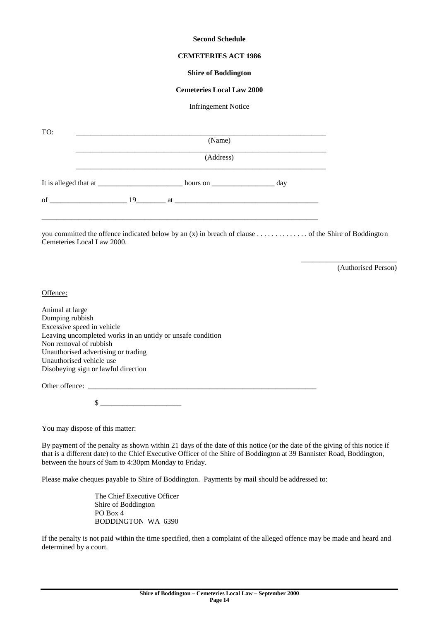#### **Second Schedule**

#### **CEMETERIES ACT 1986**

#### **Shire of Boddington**

#### **Cemeteries Local Law 2000**

#### Infringement Notice

| TO:                                    | (Name)    |  |  |  |                                                                                                    |  |  |
|----------------------------------------|-----------|--|--|--|----------------------------------------------------------------------------------------------------|--|--|
|                                        | (Address) |  |  |  |                                                                                                    |  |  |
|                                        |           |  |  |  |                                                                                                    |  |  |
| of $\qquad \qquad 19 \qquad \qquad$ at |           |  |  |  |                                                                                                    |  |  |
| Cemeteries Local Law 2000.             |           |  |  |  | you committed the offence indicated below by an (x) in breach of clause of the Shire of Boddington |  |  |
|                                        |           |  |  |  | (Authorised Person)                                                                                |  |  |

Offence:

Animal at large Dumping rubbish Excessive speed in vehicle Leaving uncompleted works in an untidy or unsafe condition Non removal of rubbish Unauthorised advertising or trading Unauthorised vehicle use Disobeying sign or lawful direction

Other offence:

 $\mathbb{S}$ 

You may dispose of this matter:

By payment of the penalty as shown within 21 days of the date of this notice (or the date of the giving of this notice if that is a different date) to the Chief Executive Officer of the Shire of Boddington at 39 Bannister Road, Boddington, between the hours of 9am to 4:30pm Monday to Friday.

Please make cheques payable to Shire of Boddington. Payments by mail should be addressed to:

The Chief Executive Officer Shire of Boddington PO Box 4 BODDINGTON WA 6390

If the penalty is not paid within the time specified, then a complaint of the alleged offence may be made and heard and determined by a court.